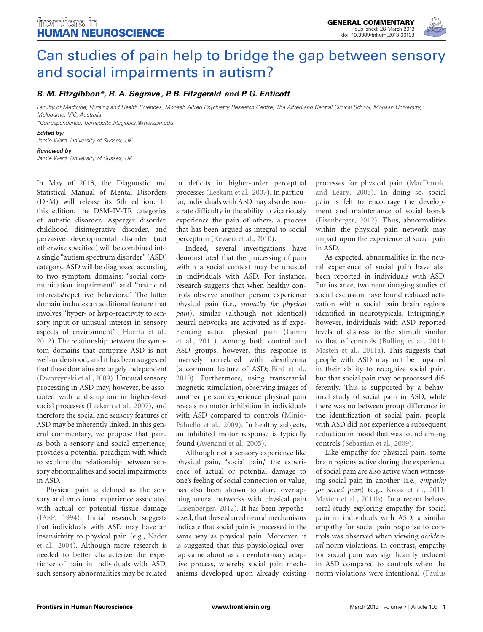

# [Can studies of pain help to bridge the gap between sensory](http://www.frontiersin.org/Human_Neuroscience/10.3389/fnhum.2013.00103/full) and social impairments in autism?

## *[B. M. Fitzgibbon\\*](http://www.frontiersin.org/Community/WhosWhoActivity.aspx?sname=BernadetteFitzgibbon&UID=57817), [R. A. Segrave](http://community.frontiersin.org/people/RebeccaSegrave/85256) , [P. B. Fitzgerald](http://community.frontiersin.org/people/PaulFitzgerald/13435) and [P. G. Enticott](http://www.frontiersin.org/Community/WhosWhoActivity.aspx?sname=PeterEnticott&UID=23826)*

*Faculty of Medicine, Nursing and Health Sciences, Monash Alfred Psychiatry Research Centre, The Alfred and Central Clinical School, Monash University, Melbourne, VIC, Australia*

*\*Correspondence: bernadette.fitzgibbon@monash.edu*

#### *Edited by:*

*Jamie Ward, University of Sussex, UK*

#### *Reviewed by: Jamie Ward, University of Sussex, UK*

In May of 2013, the Diagnostic and Statistical Manual of Mental Disorders (DSM) will release its 5th edition. In this edition, the DSM-IV-TR categories of autistic disorder, Asperger disorder, childhood disintegrative disorder, and pervasive developmental disorder (not otherwise specified) will be combined into a single "autism spectrum disorder" (ASD) category. ASD will be diagnosed according to two symptom domains: "social communication impairment" and "restricted interests/repetitive behaviors." The latter domain includes an additional feature that involves "hyper- or hypo-reactivity to sensory input or unusual interest in sensory aspects of environment" [\(Huerta et al.,](#page-1-0) [2012](#page-1-0)). The relationship between the symptom domains that comprise ASD is not well-understood, and it has been suggested that these domains are largely independent [\(Dworzynski et al., 2009\)](#page-1-1). Unusual sensory processing in ASD may, however, be associated with a disruption in higher-level social processes [\(Leekam et al.](#page-1-2), [2007](#page-1-2)), and therefore the social and sensory features of ASD may be inherently linked. In this general commentary, we propose that pain, as both a sensory and social experience, provides a potential paradigm with which to explore the relationship between sensory abnormalities and social impairments in ASD.

Physical pain is defined as the sensory and emotional experience associated with actual or potential tissue damage [\(IASP, 1994](#page-1-3)). Initial research suggests that individuals with ASD may have an inse[nsitivity to physical pain \(e.g.,](#page-1-4) Nader et al., [2004\)](#page-1-4). Although more research is needed to better characterize the experience of pain in individuals with ASD, such sensory abnormalities may be related to deficits in higher-order perceptual processes [\(Leekam et al., 2007](#page-1-2)). In particular, individuals with ASD may also demonstrate difficulty in the ability to vicariously experience the pain of others, a process that has been argued as integral to social perception [\(Keysers et al.](#page-1-5), [2010\)](#page-1-5).

Indeed, several investigations have demonstrated that the processing of pain within a social context may be unusual in individuals with ASD. For instance, research suggests that when healthy controls observe another person experience physical pain (i.e., *empathy for physical pain*), similar (although not identical) neural networks are activated as if experienc[ing actual physical pain \(](#page-1-6)Lamm et al., [2011\)](#page-1-6). Among both control and ASD groups, however, this response is inversely correlated with alexithymia (a common feature of ASD; [Bird et al.,](#page-1-7) [2010](#page-1-7)). Furthermore, using transcranial magnetic stimulation, observing images of another person experience physical pain reveals no motor inhibition in individuals with ASD co[mpared to controls \(](#page-1-8)Minio-Paluello et al., [2009\)](#page-1-8). In healthy subjects, an inhibited motor response is typically found [\(Avenanti et al., 2005](#page-1-9)).

Although not a sensory experience like physical pain, "social pain," the experience of actual or potential damage to one's feeling of social connection or value, has also been shown to share overlapping neural networks with physical pain [\(Eisenberger, 2012\)](#page-1-10). It has been hypothesized, that these shared neural mechanisms indicate that social pain is processed in the same way as physical pain. Moreover, it is suggested that this physiological overlap came about as an evolutionary adaptive process, whereby social pain mechanisms developed upon already existing

processes [for physical pain \(](#page-1-11)MacDonald and Leary, [2005\)](#page-1-11). In doing so, social pain is felt to encourage the development and maintenance of social bonds [\(Eisenberger](#page-1-10), [2012\)](#page-1-10). Thus, abnormalities within the physical pain network may impact upon the experience of social pain in ASD.

As expected, abnormalities in the neural experience of social pain have also been reported in individuals with ASD. For instance, two neuroimaging studies of social exclusion have found reduced activation within social pain brain regions identified in neurotypicals. Intriguingly, however, individuals with ASD reported levels of distress to the stimuli similar to that of controls [\(Bolling et al., 2011;](#page-1-12) [Masten et al., 2011a\)](#page-1-13). This suggests that people with ASD may not be impaired in their ability to recognize social pain, but that social pain may be processed differently. This is supported by a behavioral study of social pain in ASD; while there was no between group difference in the identification of social pain, people with ASD did not experience a subsequent reduction in mood that was found among controls [\(Sebastian et al., 2009](#page-1-14)).

Like empathy for physical pain, some brain regions active during the experience of social pain are also active when witnessing social pain in another (i.e., *empathy for social pain*) (e.g., [Kross et al., 2011;](#page-1-15) [Masten et al., 2011b\)](#page-1-16). In a recent behavioral study exploring empathy for social pain in individuals with ASD, a similar empathy for social pain response to controls was observed when viewing *accidental* norm violations. In contrast, empathy for social pain was significantly reduced in ASD compared to controls when the norm violations were intentional (Paulus